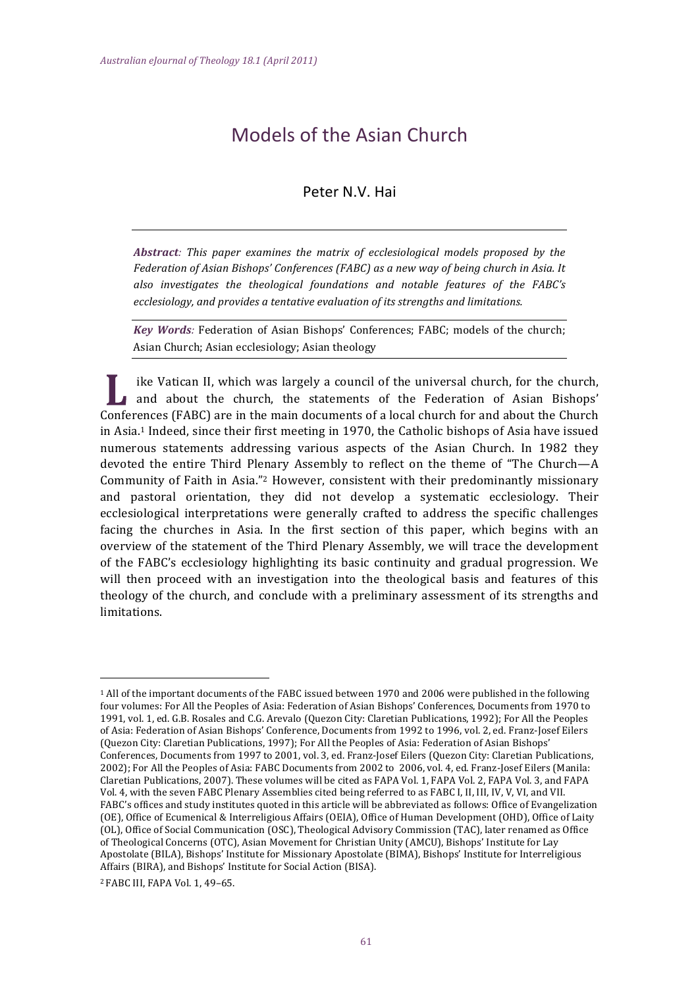# Models of the Asian Church

# Peter N.V. Hai

Abstract: This paper examines the matrix of ecclesiological models proposed by the Federation of Asian Bishops' Conferences (FABC) as a new way of being church in Asia. It also investigates the theological foundations and notable features of the FABC's ecclesiology, and provides a tentative evaluation of its strengths and limitations.

Key Words: Federation of Asian Bishops' Conferences; FABC; models of the church; Asian Church; Asian ecclesiology; Asian theology

ike Vatican II, which was largely a council of the universal church, for the church, and about the church, the statements of the Federation of Asian Bishops' Conferences (FABC) are in the main documents of a local church for and about the Church in Asia.<sup>1</sup> Indeed, since their first meeting in 1970, the Catholic bishops of Asia have issued numerous statements addressing various aspects of the Asian Church. In 1982 they devoted the entire Third Plenary Assembly to reflect on the theme of "The Church—A Community of Faith in Asia."<sup>2</sup> However, consistent with their predominantly missionary and pastoral orientation, they did not develop a systematic ecclesiology. Their ecclesiological interpretations were generally crafted to address the specific challenges facing the churches in Asia. In the first section of this paper, which begins with an overview of the statement of the Third Plenary Assembly, we will trace the development of the FABC's ecclesiology highlighting its basic continuity and gradual progression. We will then proceed with an investigation into the theological basis and features of this theology of the church, and conclude with a preliminary assessment of its strengths and limitations.

<sup>&</sup>lt;sup>1</sup> All of the important documents of the FABC issued between 1970 and 2006 were published in the following four volumes: For All the Peoples of Asia: Federation of Asian Bishops' Conferences, Documents from 1970 to 1991, vol. 1, ed. G.B. Rosales and C.G. Arevalo (Quezon City: Claretian Publications, 1992); For All the Peoples of Asia: Federation of Asian Bishops' Conference. Documents from 1992 to 1996, vol. 2, ed. Franz-Josef Eilers (Quezon City: Claretian Publications, 1997); For All the Peoples of Asia: Federation of Asian Bishops' Conferences, Documents from 1997 to 2001, vol. 3, ed. Franz-Josef Eilers (Quezon City: Claretian Publications, 2002); For All the Peoples of Asia: FABC Documents from 2002 to 2006, vol. 4, ed. Franz-Josef Eilers (Manila: Claretian Publications, 2007). These volumes will be cited as FAPA Vol. 1, FAPA Vol. 2, FAPA Vol. 3, and FAPA Vol. 4, with the seven FABC Plenary Assemblies cited being referred to as FABC I, II, III, IV, V, VI, and VII. FABC's offices and study institutes quoted in this article will be abbreviated as follows: Office of Evangelization (OE), Office of Ecumenical & Interreligious Affairs (OEIA), Office of Human Development (OHD), Office of Laity (OL), Office of Social Communication (OSC), Theological Advisory Commission (TAC), later renamed as Office of Theological Concerns (OTC), Asian Movement for Christian Unity (AMCU), Bishops' Institute for Lay Apostolate (BILA), Bishops' Institute for Missionary Apostolate (BIMA), Bishops' Institute for Interreligious Affairs (BIRA), and Bishops' Institute for Social Action (BISA).

<sup>&</sup>lt;sup>2</sup> FABC III, FAPA Vol. 1, 49-65.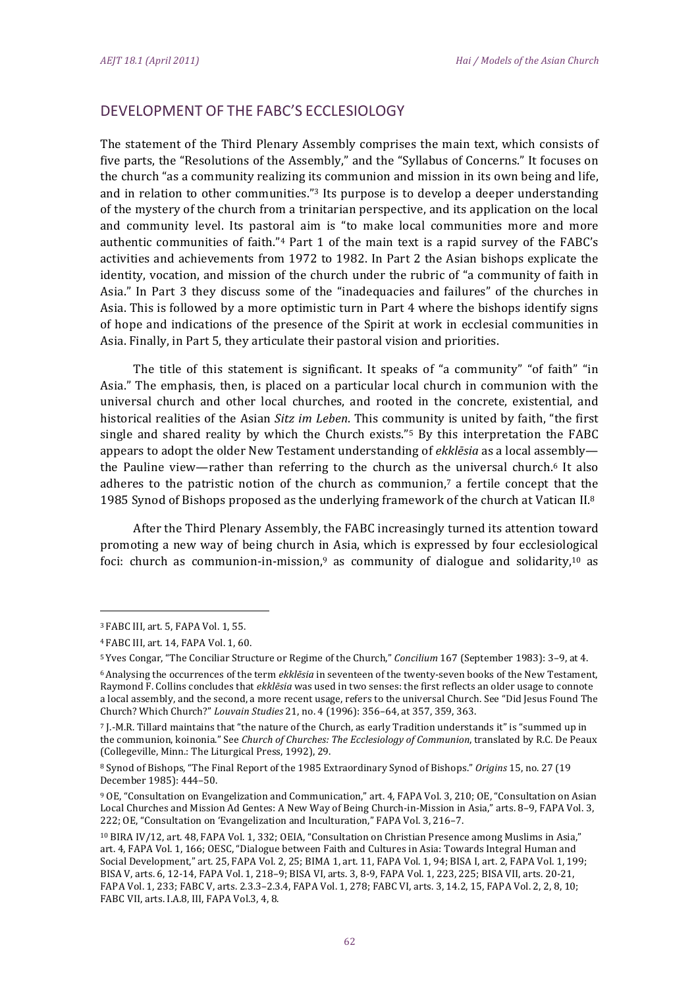# DEVELOPMENT OF THE FABC'S ECCLESIOLOGY

The statement of the Third Plenary Assembly comprises the main text, which consists of five parts, the "Resolutions of the Assembly," and the "Syllabus of Concerns." It focuses on the church "as a community realizing its communion and mission in its own being and life. and in relation to other communities."<sup>3</sup> Its purpose is to develop a deeper understanding of the mystery of the church from a trinitarian perspective, and its application on the local and community level. Its pastoral aim is "to make local communities more and more authentic communities of faith."4 Part 1 of the main text is a rapid survey of the FABC's activities and achievements from 1972 to 1982. In Part 2 the Asian bishops explicate the identity, vocation, and mission of the church under the rubric of "a community of faith in Asia." In Part 3 they discuss some of the "inadequacies and failures" of the churches in Asia. This is followed by a more optimistic turn in Part 4 where the bishops identify signs of hope and indications of the presence of the Spirit at work in ecclesial communities in Asia. Finally, in Part 5, they articulate their pastoral vision and priorities.

The title of this statement is significant. It speaks of "a community" "of faith" "in Asia." The emphasis, then, is placed on a particular local church in communion with the universal church and other local churches, and rooted in the concrete, existential, and historical realities of the Asian Sitz im Leben. This community is united by faith, "the first single and shared reality by which the Church exists."<sup>5</sup> By this interpretation the FABC appears to adopt the older New Testament understanding of ekklesia as a local assemblythe Pauline view—rather than referring to the church as the universal church.<sup>6</sup> It also adheres to the patristic notion of the church as communion.<sup>7</sup> a fertile concept that the 1985 Synod of Bishops proposed as the underlying framework of the church at Vatican II.8

After the Third Plenary Assembly, the FABC increasingly turned its attention toward promoting a new way of being church in Asia, which is expressed by four ecclesiological foci: church as communion-in-mission,<sup>9</sup> as community of dialogue and solidarity,<sup>10</sup> as

<sup>&</sup>lt;sup>3</sup> FABC III, art. 5, FAPA Vol. 1, 55.

<sup>&</sup>lt;sup>4</sup> FABC III, art. 14, FAPA Vol. 1, 60.

<sup>&</sup>lt;sup>5</sup> Yves Congar, "The Conciliar Structure or Regime of the Church," Concilium 167 (September 1983): 3-9, at 4.

<sup>&</sup>lt;sup>6</sup> Analysing the occurrences of the term *ekklēsia* in seventeen of the twenty-seven books of the New Testament, Raymond F. Collins concludes that ekklesia was used in two senses: the first reflects an older usage to connote a local assembly, and the second, a more recent usage, refers to the universal Church. See "Did Jesus Found The Church? Which Church?" Louvain Studies 21, no. 4 (1996): 356-64, at 357, 359, 363.

<sup>7</sup> I.-M.R. Tillard maintains that "the nature of the Church, as early Tradition understands it" is "summed up in the communion, koinonia." See Church of Churches: The Ecclesiology of Communion, translated by R.C. De Peaux (Collegeville, Minn.: The Liturgical Press, 1992), 29.

<sup>&</sup>lt;sup>8</sup> Synod of Bishops, "The Final Report of the 1985 Extraordinary Synod of Bishops." Origins 15, no. 27 (19 December 1985): 444-50.

<sup>&</sup>lt;sup>9</sup> OE, "Consultation on Evangelization and Communication," art. 4, FAPA Vol. 3, 210; OE, "Consultation on Asian Local Churches and Mission Ad Gentes: A New Way of Being Church-in-Mission in Asia," arts. 8-9, FAPA Vol. 3, 222; OE, "Consultation on 'Evangelization and Inculturation," FAPA Vol. 3, 216-7.

<sup>&</sup>lt;sup>10</sup> BIRA IV/12, art. 48, FAPA Vol. 1, 332; OEIA, "Consultation on Christian Presence among Muslims in Asia," art. 4, FAPA Vol. 1, 166; OESC, "Dialogue between Faith and Cultures in Asia: Towards Integral Human and Social Development," art. 25, FAPA Vol. 2, 25; BIMA 1, art. 11, FAPA Vol. 1, 94; BISA I, art. 2, FAPA Vol. 1, 199; BISA V, arts. 6, 12-14, FAPA Vol. 1, 218-9; BISA VI, arts. 3, 8-9, FAPA Vol. 1, 223, 225; BISA VII, arts. 20-21, FAPA Vol. 1, 233; FABC V, arts. 2.3.3-2.3.4, FAPA Vol. 1, 278; FABC VI, arts. 3, 14.2, 15, FAPA Vol. 2, 2, 8, 10; FABC VII, arts. I.A.8, III, FAPA Vol.3, 4, 8.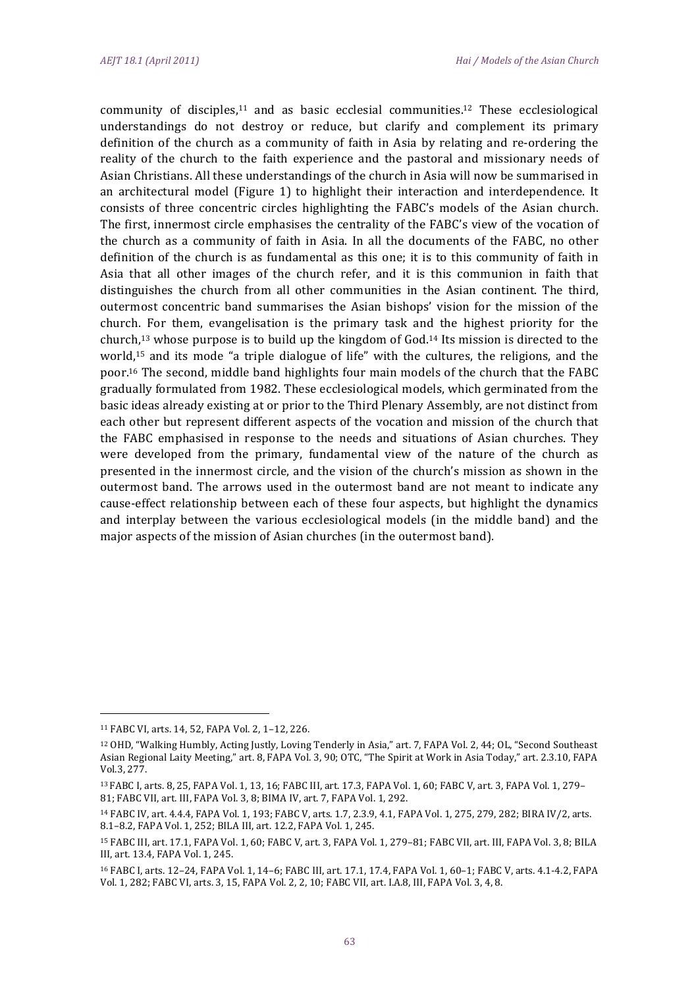community of disciples,<sup>11</sup> and as basic ecclesial communities.<sup>12</sup> These ecclesiological understandings do not destroy or reduce, but clarify and complement its primary definition of the church as a community of faith in Asia by relating and re-ordering the reality of the church to the faith experience and the pastoral and missionary needs of Asian Christians. All these understandings of the church in Asia will now be summarised in an architectural model (Figure 1) to highlight their interaction and interdependence. It consists of three concentric circles highlighting the FABC's models of the Asian church. The first, innermost circle emphasises the centrality of the FABC's view of the vocation of the church as a community of faith in Asia. In all the documents of the FABC, no other definition of the church is as fundamental as this one; it is to this community of faith in Asia that all other images of the church refer, and it is this communion in faith that distinguishes the church from all other communities in the Asian continent. The third, outermost concentric band summarises the Asian bishops' vision for the mission of the church. For them, evangelisation is the primary task and the highest priority for the church, $13$  whose purpose is to build up the kingdom of God. $14$  Its mission is directed to the world,<sup>15</sup> and its mode "a triple dialogue of life" with the cultures, the religions, and the poor.<sup>16</sup> The second, middle band highlights four main models of the church that the FABC gradually formulated from 1982. These ecclesiological models, which germinated from the basic ideas already existing at or prior to the Third Plenary Assembly, are not distinct from each other but represent different aspects of the vocation and mission of the church that the FABC emphasised in response to the needs and situations of Asian churches. They were developed from the primary, fundamental view of the nature of the church as presented in the innermost circle, and the vision of the church's mission as shown in the outermost band. The arrows used in the outermost band are not meant to indicate any cause-effect relationship between each of these four aspects, but highlight the dynamics and interplay between the various ecclesiological models (in the middle band) and the major aspects of the mission of Asian churches (in the outermost band).

<sup>11</sup> FABC VI, arts. 14, 52, FAPA Vol. 2, 1-12, 226.

<sup>&</sup>lt;sup>12</sup> OHD, "Walking Humbly, Acting Justly, Loving Tenderly in Asia," art. 7, FAPA Vol. 2, 44; OL, "Second Southeast Asian Regional Laity Meeting," art. 8, FAPA Vol. 3, 90; OTC, "The Spirit at Work in Asia Today," art. 2.3.10, FAPA Vol.3, 277.

<sup>13</sup> FABC I, arts. 8, 25, FAPA Vol. 1, 13, 16; FABC III, art. 17.3, FAPA Vol. 1, 60; FABC V, art. 3, FAPA Vol. 1, 279-81; FABC VII, art. III, FAPA Vol. 3, 8; BIMA IV, art. 7, FAPA Vol. 1, 292.

<sup>14</sup> FABC IV, art. 4.4.4, FAPA Vol. 1, 193; FABC V, arts. 1.7, 2.3.9, 4.1, FAPA Vol. 1, 275, 279, 282; BIRA IV/2, arts. 8.1-8.2, FAPA Vol. 1, 252; BILA III, art. 12.2, FAPA Vol. 1, 245.

<sup>15</sup> FABC III, art. 17.1, FAPA Vol. 1, 60; FABC V, art. 3, FAPA Vol. 1, 279-81; FABC VII, art. III, FAPA Vol. 3, 8; BILA III, art. 13.4, FAPA Vol. 1, 245.

<sup>16</sup> FABC I, arts. 12-24, FAPA Vol. 1, 14-6; FABC III, art. 17.1, 17.4, FAPA Vol. 1, 60-1; FABC V, arts. 4.1-4.2, FAPA Vol. 1, 282; FABC VI, arts. 3, 15, FAPA Vol. 2, 2, 10; FABC VII, art. I.A.8, III, FAPA Vol. 3, 4, 8.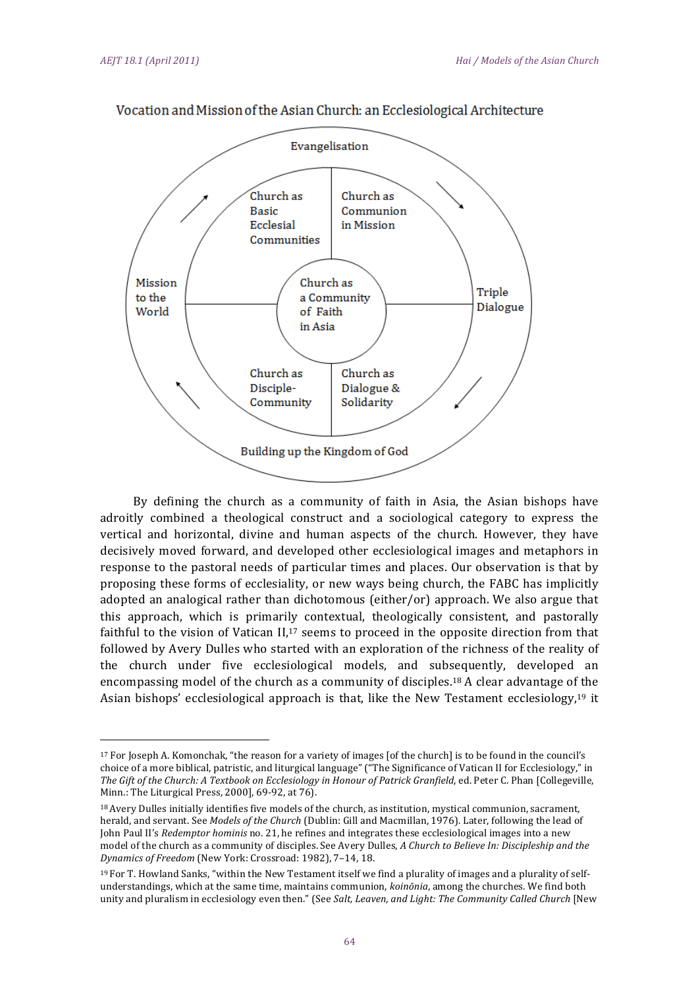

Vocation and Mission of the Asian Church: an Ecclesiological Architecture

By defining the church as a community of faith in Asia, the Asian bishops have adroitly combined a theological construct and a sociological category to express the vertical and horizontal, divine and human aspects of the church. However, they have decisively moved forward, and developed other ecclesiological images and metaphors in response to the pastoral needs of particular times and places. Our observation is that by proposing these forms of ecclesiality, or new ways being church, the FABC has implicitly adopted an analogical rather than dichotomous (either/or) approach. We also argue that this approach, which is primarily contextual, theologically consistent, and pastorally faithful to the vision of Vatican  $II,17$  seems to proceed in the opposite direction from that followed by Avery Dulles who started with an exploration of the richness of the reality of the church under five ecclesiological models, and subsequently, developed an encompassing model of the church as a community of disciples.<sup>18</sup> A clear advantage of the Asian bishops' ecclesiological approach is that, like the New Testament ecclesiology,<sup>19</sup> it

<sup>&</sup>lt;sup>17</sup> For Joseph A. Komonchak, "the reason for a variety of images [of the church] is to be found in the council's choice of a more biblical, patristic, and liturgical language" ("The Significance of Vatican II for Ecclesiology," in The Gift of the Church: A Textbook on Ecclesiology in Honour of Patrick Granfield, ed. Peter C. Phan [Collegeville, Minn.: The Liturgical Press, 2000], 69-92, at 76).

<sup>&</sup>lt;sup>18</sup> Avery Dulles initially identifies five models of the church, as institution, mystical communion, sacrament, herald, and servant. See Models of the Church (Dublin: Gill and Macmillan, 1976). Later, following the lead of John Paul II's Redemptor hominis no. 21, he refines and integrates these ecclesiological images into a new model of the church as a community of disciples. See Avery Dulles, A Church to Believe In: Discipleship and the Dynamics of Freedom (New York: Crossroad: 1982), 7-14, 18.

 $19$  For T. Howland Sanks, "within the New Testament itself we find a plurality of images and a plurality of selfunderstandings, which at the same time, maintains communion, koinonia, among the churches. We find both unity and pluralism in ecclesiology even then." (See Salt, Leaven, and Light: The Community Called Church [New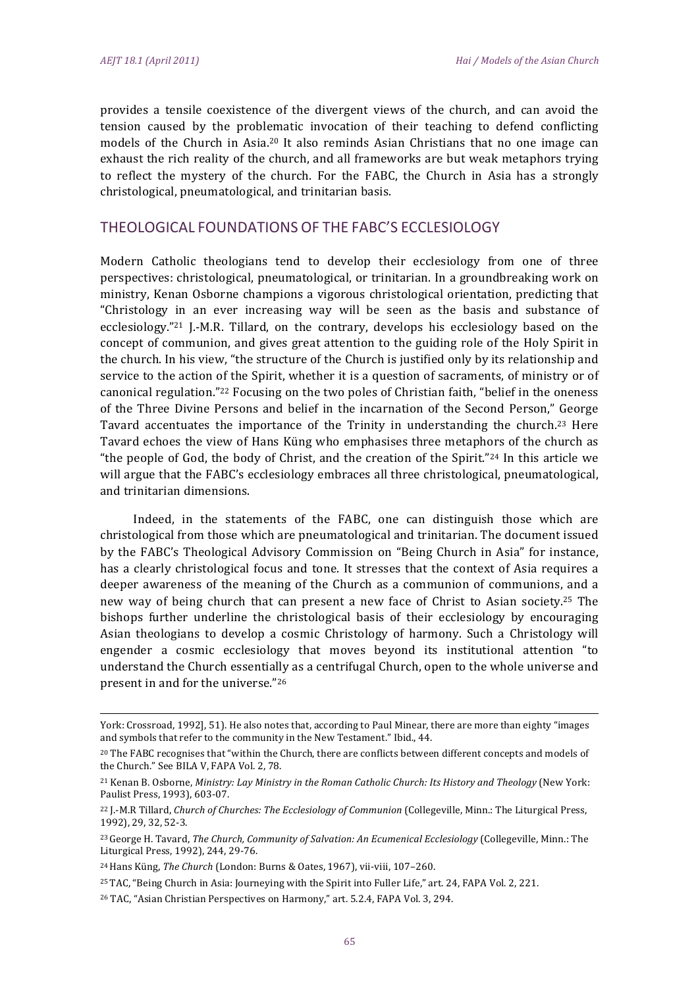provides a tensile coexistence of the divergent views of the church, and can avoid the tension caused by the problematic invocation of their teaching to defend conflicting models of the Church in Asia.<sup>20</sup> It also reminds Asian Christians that no one image can exhaust the rich reality of the church, and all frameworks are but weak metaphors trying to reflect the mystery of the church. For the FABC, the Church in Asia has a strongly christological, pneumatological, and trinitarian basis.

# THEOLOGICAL FOUNDATIONS OF THE FABC'S ECCLESIOLOGY

Modern Catholic theologians tend to develop their ecclesiology from one of three perspectives: christological, pneumatological, or trinitarian. In a groundbreaking work on ministry, Kenan Osborne champions a vigorous christological orientation, predicting that "Christology in an ever increasing way will be seen as the basis and substance of ecclesiology."21 J.-M.R. Tillard, on the contrary, develops his ecclesiology based on the concept of communion, and gives great attention to the guiding role of the Holy Spirit in the church. In his view, "the structure of the Church is justified only by its relationship and service to the action of the Spirit, whether it is a question of sacraments, of ministry or of canonical regulation."<sup>22</sup> Focusing on the two poles of Christian faith, "belief in the oneness" of the Three Divine Persons and belief in the incarnation of the Second Person," George Tavard accentuates the importance of the Trinity in understanding the church.<sup>23</sup> Here Tavard echoes the view of Hans Küng who emphasises three metaphors of the church as "the people of God, the body of Christ, and the creation of the Spirit."<sup>24</sup> In this article we will argue that the FABC's ecclesiology embraces all three christological, pneumatological, and trinitarian dimensions.

Indeed, in the statements of the FABC, one can distinguish those which are christological from those which are pneumatological and trinitarian. The document issued by the FABC's Theological Advisory Commission on "Being Church in Asia" for instance, has a clearly christological focus and tone. It stresses that the context of Asia requires a deeper awareness of the meaning of the Church as a communion of communions, and a new way of being church that can present a new face of Christ to Asian society.<sup>25</sup> The bishops further underline the christological basis of their ecclesiology by encouraging Asian theologians to develop a cosmic Christology of harmony. Such a Christology will engender a cosmic ecclesiology that moves beyond its institutional attention "to understand the Church essentially as a centrifugal Church, open to the whole universe and present in and for the universe."26

<sup>25</sup> TAC, "Being Church in Asia: Journeying with the Spirit into Fuller Life," art. 24, FAPA Vol. 2, 221.

York: Crossroad, 1992], 51). He also notes that, according to Paul Minear, there are more than eighty "images and symbols that refer to the community in the New Testament." Ibid., 44.

<sup>&</sup>lt;sup>20</sup> The FABC recognises that "within the Church, there are conflicts between different concepts and models of the Church." See BILA V, FAPA Vol. 2, 78.

<sup>&</sup>lt;sup>21</sup> Kenan B. Osborne, Ministry: Lay Ministry in the Roman Catholic Church: Its History and Theology (New York: Paulist Press, 1993), 603-07.

<sup>&</sup>lt;sup>22</sup> J.-M.R Tillard, Church of Churches: The Ecclesiology of Communion (Collegeville, Minn.: The Liturgical Press, 1992), 29, 32, 52-3.

<sup>&</sup>lt;sup>23</sup> George H. Tavard, *The Church, Community of Salvation: An Ecumenical Ecclesiology* (Collegeville, Minn.: The Liturgical Press, 1992), 244, 29-76.

<sup>&</sup>lt;sup>24</sup> Hans Küng, *The Church* (London: Burns & Oates, 1967), vii-viii, 107-260.

<sup>&</sup>lt;sup>26</sup> TAC, "Asian Christian Perspectives on Harmony," art. 5.2.4, FAPA Vol. 3, 294.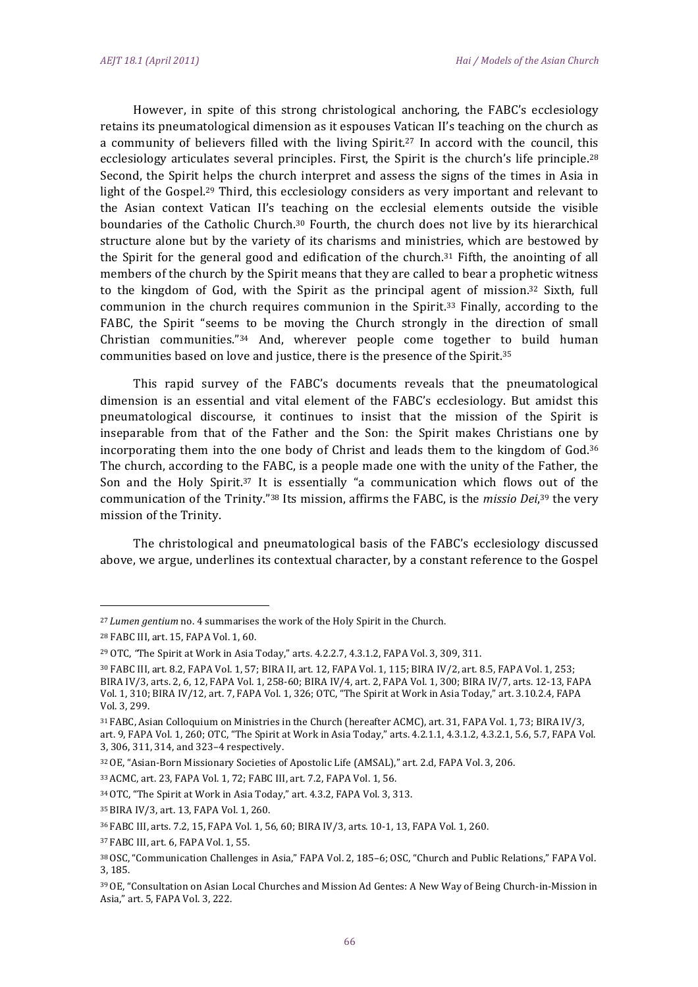However, in spite of this strong christological anchoring, the FABC's ecclesiology retains its pneumatological dimension as it espouses Vatican II's teaching on the church as a community of believers filled with the living Spirit.<sup>27</sup> In accord with the council, this ecclesiology articulates several principles. First, the Spirit is the church's life principle.<sup>28</sup> Second, the Spirit helps the church interpret and assess the signs of the times in Asia in light of the Gospel.<sup>29</sup> Third, this ecclesiology considers as very important and relevant to the Asian context Vatican II's teaching on the ecclesial elements outside the visible boundaries of the Catholic Church.<sup>30</sup> Fourth, the church does not live by its hierarchical structure alone but by the variety of its charisms and ministries, which are bestowed by the Spirit for the general good and edification of the church.<sup>31</sup> Fifth, the anointing of all members of the church by the Spirit means that they are called to bear a prophetic witness to the kingdom of God, with the Spirit as the principal agent of mission.<sup>32</sup> Sixth, full communion in the church requires communion in the Spirit.<sup>33</sup> Finally, according to the FABC, the Spirit "seems to be moving the Church strongly in the direction of small Christian communities."34 And, wherever people come together to build human communities based on love and justice, there is the presence of the Spirit.<sup>35</sup>

This rapid survey of the FABC's documents reveals that the pneumatological dimension is an essential and vital element of the FABC's ecclesiology. But amidst this pneumatological discourse, it continues to insist that the mission of the Spirit is inseparable from that of the Father and the Son: the Spirit makes Christians one by incorporating them into the one body of Christ and leads them to the kingdom of God.<sup>36</sup> The church, according to the FABC, is a people made one with the unity of the Father, the Son and the Holy Spirit.<sup>37</sup> It is essentially "a communication which flows out of the communication of the Trinity."38 Its mission, affirms the FABC, is the missio Dei,39 the very mission of the Trinity.

The christological and pneumatological basis of the FABC's ecclesiology discussed above, we argue, underlines its contextual character, by a constant reference to the Gospel

<sup>&</sup>lt;sup>27</sup> Lumen gentium no. 4 summarises the work of the Holy Spirit in the Church.

<sup>&</sup>lt;sup>28</sup> FABC III, art. 15, FAPA Vol. 1, 60.

<sup>&</sup>lt;sup>29</sup> OTC, "The Spirit at Work in Asia Today," arts. 4.2.2.7, 4.3.1.2, FAPA Vol. 3, 309, 311.

<sup>&</sup>lt;sup>30</sup> FABC III. art. 8.2. FAPA Vol. 1, 57: BIRA II. art. 12. FAPA Vol. 1, 115: BIRA IV/2. art. 8.5. FAPA Vol. 1, 253: BIRA IV/3, arts. 2, 6, 12, FAPA Vol. 1, 258-60; BIRA IV/4, art. 2, FAPA Vol. 1, 300; BIRA IV/7, arts. 12-13, FAPA Vol. 1, 310; BIRA IV/12, art. 7, FAPA Vol. 1, 326; OTC, "The Spirit at Work in Asia Today," art. 3.10.2.4, FAPA Vol. 3, 299.

<sup>&</sup>lt;sup>31</sup> FABC, Asian Colloquium on Ministries in the Church (hereafter ACMC), art. 31, FAPA Vol. 1, 73; BIRA IV/3, art. 9, FAPA Vol. 1, 260; OTC, "The Spirit at Work in Asia Today," arts. 4.2.1.1, 4.3.1.2, 4.3.2.1, 5.6, 5.7, FAPA Vol. 3, 306, 311, 314, and 323-4 respectively.

<sup>&</sup>lt;sup>32</sup> OE, "Asian-Born Missionary Societies of Apostolic Life (AMSAL)," art. 2.d, FAPA Vol. 3, 206.

<sup>33</sup> ACMC, art. 23, FAPA Vol. 1, 72; FABC III, art. 7.2, FAPA Vol. 1, 56.

<sup>&</sup>lt;sup>34</sup> OTC, "The Spirit at Work in Asia Today," art. 4.3.2, FAPA Vol. 3, 313.

<sup>35</sup> BIRA IV/3, art. 13, FAPA Vol. 1, 260.

<sup>36</sup> FABC III, arts. 7.2, 15, FAPA Vol. 1, 56, 60; BIRA IV/3, arts. 10-1, 13, FAPA Vol. 1, 260.

<sup>37</sup> FABC III, art. 6, FAPA Vol. 1, 55.

<sup>38</sup> OSC, "Communication Challenges in Asia," FAPA Vol. 2, 185-6; OSC, "Church and Public Relations," FAPA Vol. 3, 185.

<sup>39</sup> OE. "Consultation on Asian Local Churches and Mission Ad Gentes: A New Way of Being Church-in-Mission in Asia," art. 5, FAPA Vol. 3, 222.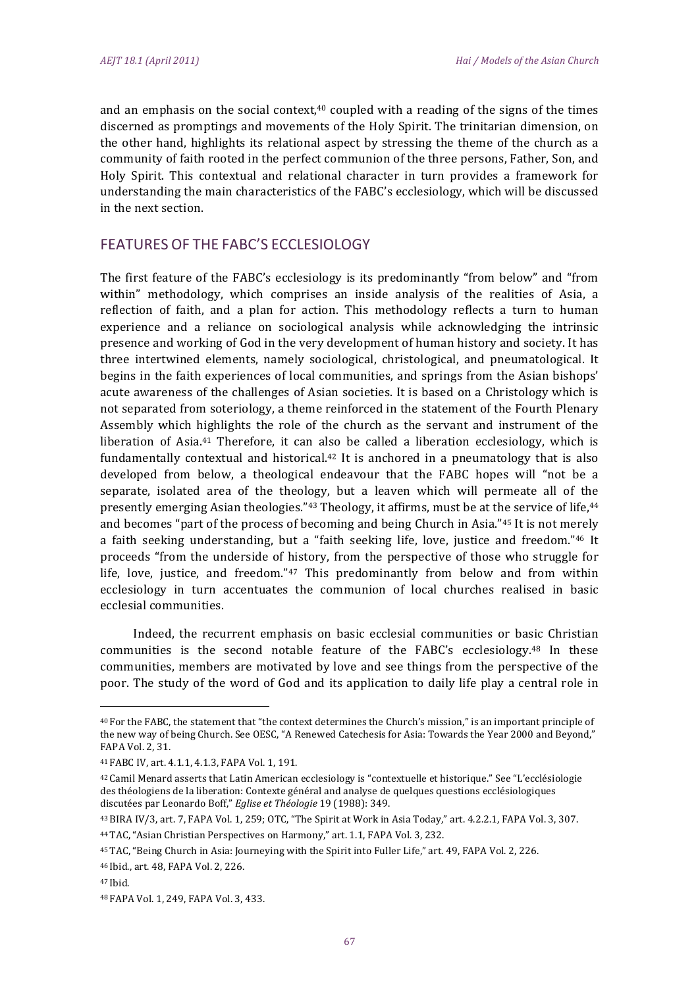and an emphasis on the social context,<sup>40</sup> coupled with a reading of the signs of the times discerned as promptings and movements of the Holy Spirit. The trinitarian dimension, on the other hand, highlights its relational aspect by stressing the theme of the church as a community of faith rooted in the perfect communion of the three persons, Father, Son, and Holy Spirit. This contextual and relational character in turn provides a framework for understanding the main characteristics of the FABC's ecclesiology, which will be discussed in the next section.

# **FEATURES OF THE FABC'S ECCLESIOLOGY**

The first feature of the FABC's ecclesiology is its predominantly "from below" and "from within" methodology, which comprises an inside analysis of the realities of Asia, a reflection of faith, and a plan for action. This methodology reflects a turn to human experience and a reliance on sociological analysis while acknowledging the intrinsic presence and working of God in the very development of human history and society. It has three intertwined elements, namely sociological, christological, and pneumatological. It begins in the faith experiences of local communities, and springs from the Asian bishops' acute awareness of the challenges of Asian societies. It is based on a Christology which is not separated from soteriology, a theme reinforced in the statement of the Fourth Plenary Assembly which highlights the role of the church as the servant and instrument of the liberation of Asia.<sup>41</sup> Therefore, it can also be called a liberation ecclesiology, which is fundamentally contextual and historical.<sup>42</sup> It is anchored in a pneumatology that is also developed from below, a theological endeavour that the FABC hopes will "not be a separate, isolated area of the theology, but a leaven which will permeate all of the presently emerging Asian theologies."<sup>43</sup> Theology, it affirms, must be at the service of life,<sup>44</sup> and becomes "part of the process of becoming and being Church in Asia."45 It is not merely a faith seeking understanding, but a "faith seeking life, love, justice and freedom."46 It proceeds "from the underside of history, from the perspective of those who struggle for life, love, justice, and freedom." $47$  This predominantly from below and from within ecclesiology in turn accentuates the communion of local churches realised in basic ecclesial communities.

Indeed, the recurrent emphasis on basic ecclesial communities or basic Christian communities is the second notable feature of the FABC's ecclesiology.<sup>48</sup> In these communities, members are motivated by love and see things from the perspective of the poor. The study of the word of God and its application to daily life play a central role in

<sup>&</sup>lt;sup>40</sup> For the FABC, the statement that "the context determines the Church's mission," is an important principle of the new way of being Church. See OESC, "A Renewed Catechesis for Asia: Towards the Year 2000 and Beyond," FAPA Vol. 2, 31.

<sup>41</sup> FABC IV, art. 4.1.1, 4.1.3, FAPA Vol. 1, 191.

<sup>&</sup>lt;sup>42</sup> Camil Menard asserts that Latin American ecclesiology is "contextuelle et historique." See "L'ecclésiologie des théologiens de la liberation: Contexte général and analyse de quelques questions ecclésiologiques discutées par Leonardo Boff," Eglise et Théologie 19 (1988): 349.

<sup>&</sup>lt;sup>43</sup> BIRA IV/3, art. 7, FAPA Vol. 1, 259; OTC, "The Spirit at Work in Asia Today," art. 4.2.2.1, FAPA Vol. 3, 307.

<sup>&</sup>lt;sup>44</sup> TAC, "Asian Christian Perspectives on Harmony," art. 1.1, FAPA Vol. 3, 232.

<sup>&</sup>lt;sup>45</sup> TAC, "Being Church in Asia: Journeying with the Spirit into Fuller Life," art. 49, FAPA Vol. 2, 226.

<sup>&</sup>lt;sup>46</sup> Ibid., art. 48. FAPA Vol. 2, 226.

<sup>&</sup>lt;sup>47</sup> Ibid.

<sup>48</sup> FAPA Vol. 1, 249, FAPA Vol. 3, 433.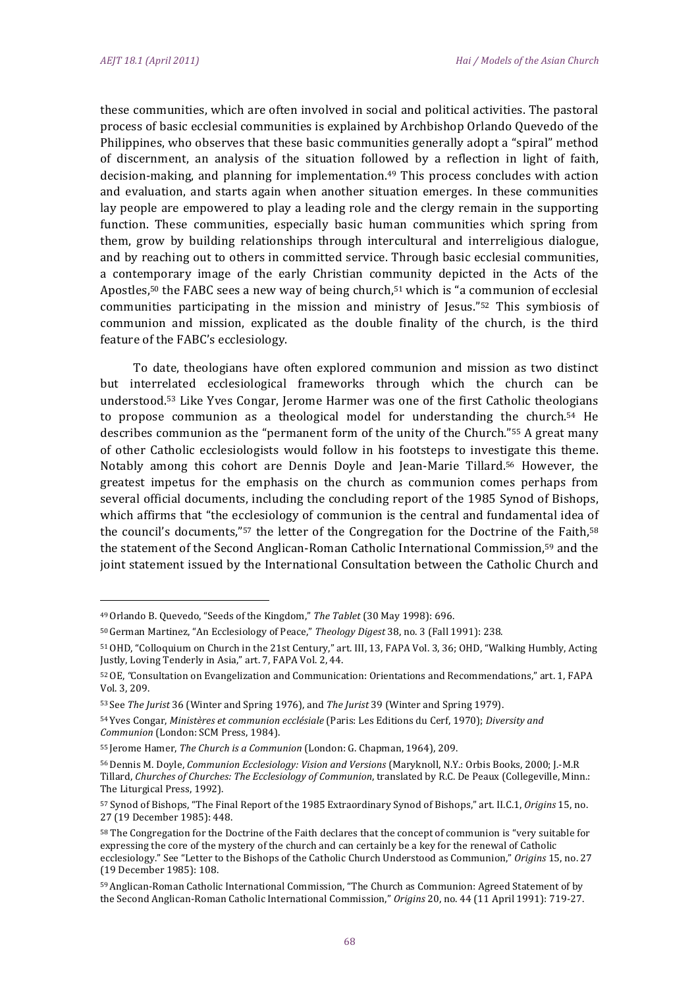these communities, which are often involved in social and political activities. The pastoral process of basic ecclesial communities is explained by Archbishop Orlando Quevedo of the Philippines, who observes that these basic communities generally adopt a "spiral" method of discernment, an analysis of the situation followed by a reflection in light of faith, decision-making, and planning for implementation.<sup>49</sup> This process concludes with action and evaluation, and starts again when another situation emerges. In these communities lay people are empowered to play a leading role and the clergy remain in the supporting function. These communities, especially basic human communities which spring from them, grow by building relationships through intercultural and interreligious dialogue, and by reaching out to others in committed service. Through basic ecclesial communities, a contemporary image of the early Christian community depicted in the Acts of the Apostles,<sup>50</sup> the FABC sees a new way of being church,<sup>51</sup> which is "a communion of ecclesial communities participating in the mission and ministry of Jesus."<sup>52</sup> This symbiosis of communion and mission, explicated as the double finality of the church, is the third feature of the FABC's ecclesiology.

To date, theologians have often explored communion and mission as two distinct but interrelated ecclesiological frameworks through which the church can be understood.<sup>53</sup> Like Yves Congar, Jerome Harmer was one of the first Catholic theologians to propose communion as a theological model for understanding the church.<sup>54</sup> He describes communion as the "permanent form of the unity of the Church."<sup>55</sup> A great many of other Catholic ecclesiologists would follow in his footsteps to investigate this theme. Notably among this cohort are Dennis Doyle and Jean-Marie Tillard.<sup>56</sup> However, the greatest impetus for the emphasis on the church as communion comes perhaps from several official documents, including the concluding report of the 1985 Synod of Bishops, which affirms that "the ecclesiology of communion is the central and fundamental idea of the council's documents,"<sup>57</sup> the letter of the Congregation for the Doctrine of the Faith,<sup>58</sup> the statement of the Second Anglican-Roman Catholic International Commission,<sup>59</sup> and the joint statement issued by the International Consultation between the Catholic Church and

<sup>&</sup>lt;sup>49</sup> Orlando B. Quevedo, "Seeds of the Kingdom," The Tablet (30 May 1998): 696.

<sup>&</sup>lt;sup>50</sup> German Martinez, "An Ecclesiology of Peace," Theology Digest 38, no. 3 (Fall 1991): 238.

<sup>&</sup>lt;sup>51</sup> OHD, "Colloquium on Church in the 21st Century," art. III, 13, FAPA Vol. 3, 36; OHD, "Walking Humbly, Acting Justly, Loving Tenderly in Asia," art. 7, FAPA Vol. 2, 44.

<sup>&</sup>lt;sup>52</sup> OE, "Consultation on Evangelization and Communication: Orientations and Recommendations," art. 1, FAPA Vol. 3, 209.

<sup>&</sup>lt;sup>53</sup> See The Jurist 36 (Winter and Spring 1976), and The Jurist 39 (Winter and Spring 1979).

<sup>54</sup> Yves Congar, Ministères et communion ecclésiale (Paris: Les Editions du Cerf, 1970); Diversity and Communion (London: SCM Press, 1984).

<sup>&</sup>lt;sup>55</sup> Jerome Hamer, The Church is a Communion (London: G. Chapman, 1964), 209.

<sup>56</sup> Dennis M. Doyle, Communion Ecclesiology: Vision and Versions (Maryknoll, N.Y.: Orbis Books, 2000; J.-M.R Tillard, Churches of Churches: The Ecclesiology of Communion, translated by R.C. De Peaux (Collegeville, Minn.: The Liturgical Press, 1992).

<sup>&</sup>lt;sup>57</sup> Synod of Bishops, "The Final Report of the 1985 Extraordinary Synod of Bishops," art. II.C.1, Origins 15, no. 27 (19 December 1985): 448.

<sup>&</sup>lt;sup>58</sup> The Congregation for the Doctrine of the Faith declares that the concept of communion is "very suitable for expressing the core of the mystery of the church and can certainly be a key for the renewal of Catholic ecclesiology." See "Letter to the Bishops of the Catholic Church Understood as Communion," Origins 15, no. 27 (19 December 1985): 108.

<sup>59</sup> Anglican-Roman Catholic International Commission, "The Church as Communion: Agreed Statement of by the Second Anglican-Roman Catholic International Commission," Origins 20, no. 44 (11 April 1991): 719-27.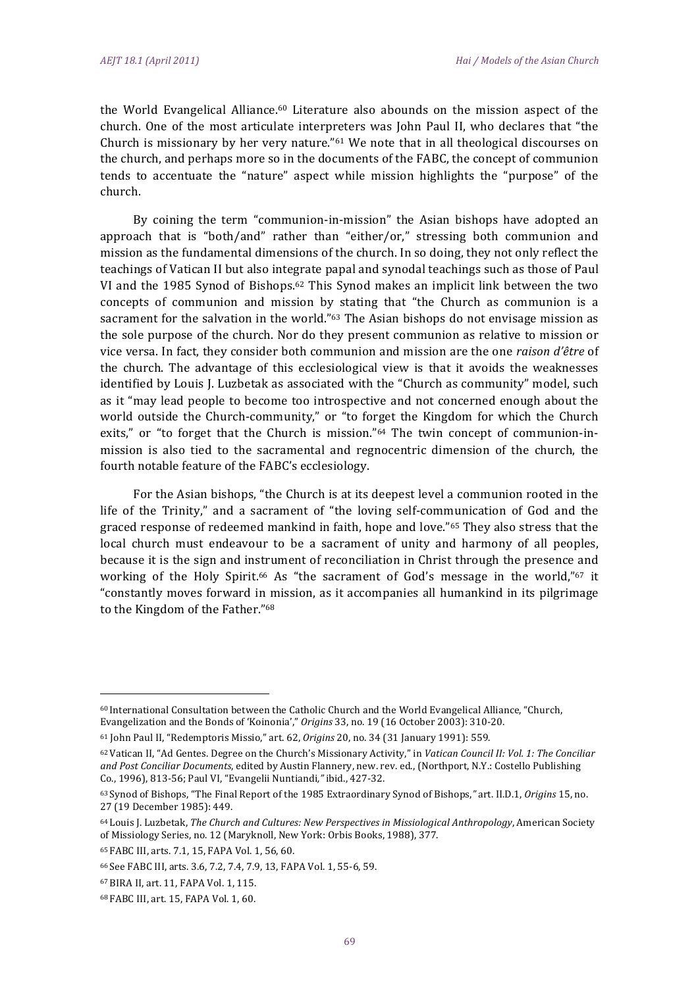the World Evangelical Alliance.<sup>60</sup> Literature also abounds on the mission aspect of the church. One of the most articulate interpreters was John Paul II, who declares that "the Church is missionary by her very nature."<sup>61</sup> We note that in all theological discourses on the church, and perhaps more so in the documents of the FABC, the concept of communion tends to accentuate the "nature" aspect while mission highlights the "purpose" of the church.

By coining the term "communion-in-mission" the Asian bishops have adopted an approach that is "both/and" rather than "either/or," stressing both communion and mission as the fundamental dimensions of the church. In so doing, they not only reflect the teachings of Vatican II but also integrate papal and synodal teachings such as those of Paul VI and the 1985 Synod of Bishops.<sup>62</sup> This Synod makes an implicit link between the two concepts of communion and mission by stating that "the Church as communion is a sacrament for the salvation in the world."<sup>63</sup> The Asian bishops do not envisage mission as the sole purpose of the church. Nor do they present communion as relative to mission or vice versa. In fact, they consider both communion and mission are the one raison d'être of the church. The advantage of this ecclesiological view is that it avoids the weaknesses identified by Louis J. Luzbetak as associated with the "Church as community" model, such as it "may lead people to become too introspective and not concerned enough about the world outside the Church-community," or "to forget the Kingdom for which the Church exits," or "to forget that the Church is mission."<sup>64</sup> The twin concept of communion-inmission is also tied to the sacramental and regnocentric dimension of the church, the fourth notable feature of the FABC's ecclesiology.

For the Asian bishops, "the Church is at its deepest level a communion rooted in the life of the Trinity," and a sacrament of "the loving self-communication of God and the graced response of redeemed mankind in faith, hope and love."65 They also stress that the local church must endeavour to be a sacrament of unity and harmony of all peoples, because it is the sign and instrument of reconciliation in Christ through the presence and working of the Holy Spirit.<sup>66</sup> As "the sacrament of God's message in the world,"<sup>67</sup> it "constantly moves forward in mission, as it accompanies all humankind in its pilgrimage to the Kingdom of the Father."68

<sup>&</sup>lt;sup>60</sup> International Consultation between the Catholic Church and the World Evangelical Alliance, "Church, Evangelization and the Bonds of 'Koinonia'," Origins 33, no. 19 (16 October 2003): 310-20.

<sup>61</sup> John Paul II, "Redemptoris Missio," art. 62, Origins 20, no. 34 (31 January 1991): 559.

<sup>62</sup> Vatican II, "Ad Gentes. Degree on the Church's Missionary Activity," in Vatican Council II: Vol. 1: The Conciliar and Post Conciliar Documents, edited by Austin Flannery, new. rev. ed., (Northport, N.Y.: Costello Publishing Co., 1996), 813-56; Paul VI, "Evangelii Nuntiandi," ibid., 427-32.

<sup>63</sup> Synod of Bishops, "The Final Report of the 1985 Extraordinary Synod of Bishops," art. II.D.1, Origins 15, no. 27 (19 December 1985): 449.

<sup>&</sup>lt;sup>64</sup> Louis J. Luzbetak, The Church and Cultures: New Perspectives in Missiological Anthropology, American Society of Missiology Series, no. 12 (Maryknoll, New York: Orbis Books, 1988), 377.

<sup>65</sup> FABC III, arts. 7.1, 15, FAPA Vol. 1, 56, 60.

<sup>66</sup> See FABC III, arts. 3.6, 7.2, 7.4, 7.9, 13, FAPA Vol. 1, 55-6, 59.

<sup>67</sup> BIRA II, art. 11, FAPA Vol. 1, 115.

<sup>68</sup> FABC III, art. 15, FAPA Vol. 1, 60.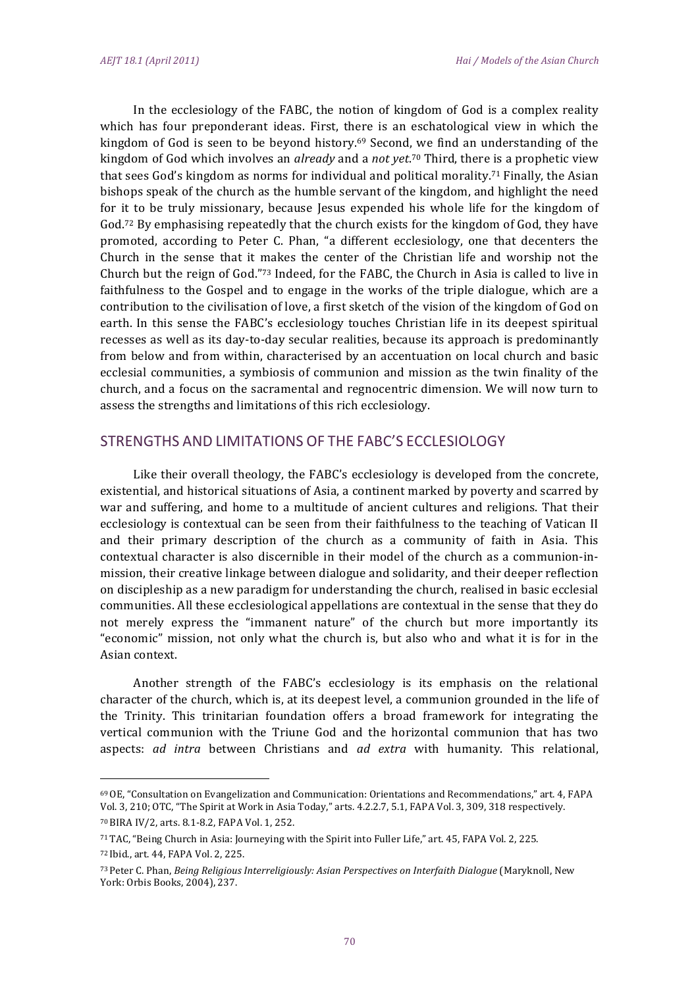In the ecclesiology of the FABC, the notion of kingdom of God is a complex reality which has four preponderant ideas. First, there is an eschatological view in which the kingdom of God is seen to be beyond history.<sup>69</sup> Second, we find an understanding of the kingdom of God which involves an already and a not yet.<sup>70</sup> Third, there is a prophetic view that sees God's kingdom as norms for individual and political morality.<sup>71</sup> Finally, the Asian bishops speak of the church as the humble servant of the kingdom, and highlight the need for it to be truly missionary, because Jesus expended his whole life for the kingdom of God.<sup>72</sup> By emphasising repeatedly that the church exists for the kingdom of God, they have promoted, according to Peter C. Phan, "a different ecclesiology, one that decenters the Church in the sense that it makes the center of the Christian life and worship not the Church but the reign of God."73 Indeed, for the FABC, the Church in Asia is called to live in faithfulness to the Gospel and to engage in the works of the triple dialogue, which are a contribution to the civilisation of love, a first sketch of the vision of the kingdom of God on earth. In this sense the FABC's ecclesiology touches Christian life in its deepest spiritual recesses as well as its day-to-day secular realities, because its approach is predominantly from below and from within, characterised by an accentuation on local church and basic ecclesial communities, a symbiosis of communion and mission as the twin finality of the church, and a focus on the sacramental and regnocentric dimension. We will now turn to assess the strengths and limitations of this rich ecclesiology.

# STRENGTHS AND LIMITATIONS OF THE FABC'S ECCLESIOLOGY

Like their overall theology, the FABC's ecclesiology is developed from the concrete, existential, and historical situations of Asia, a continent marked by poverty and scarred by war and suffering, and home to a multitude of ancient cultures and religions. That their ecclesiology is contextual can be seen from their faithfulness to the teaching of Vatican II and their primary description of the church as a community of faith in Asia. This contextual character is also discernible in their model of the church as a communion-inmission, their creative linkage between dialogue and solidarity, and their deeper reflection on discipleship as a new paradigm for understanding the church, realised in basic ecclesial communities. All these ecclesiological appellations are contextual in the sense that they do not merely express the "immanent nature" of the church but more importantly its "economic" mission, not only what the church is, but also who and what it is for in the Asian context.

Another strength of the FABC's ecclesiology is its emphasis on the relational character of the church, which is, at its deepest level, a communion grounded in the life of the Trinity. This trinitarian foundation offers a broad framework for integrating the vertical communion with the Triune God and the horizontal communion that has two aspects: ad intra between Christians and ad extra with humanity. This relational,

<sup>&</sup>lt;sup>69</sup> OE, "Consultation on Evangelization and Communication: Orientations and Recommendations," art. 4, FAPA Vol. 3, 210; OTC, "The Spirit at Work in Asia Today," arts. 4.2.2.7, 5.1, FAPA Vol. 3, 309, 318 respectively. 70 BIRA IV/2, arts. 8.1-8.2, FAPA Vol. 1, 252.

<sup>71</sup> TAC, "Being Church in Asia: Journeying with the Spirit into Fuller Life," art. 45, FAPA Vol. 2, 225.

<sup>72</sup> Ibid., art. 44, FAPA Vol. 2, 225.

<sup>73</sup> Peter C. Phan, Being Religious Interreligiously: Asian Perspectives on Interfaith Dialogue (Maryknoll, New York: Orbis Books, 2004), 237.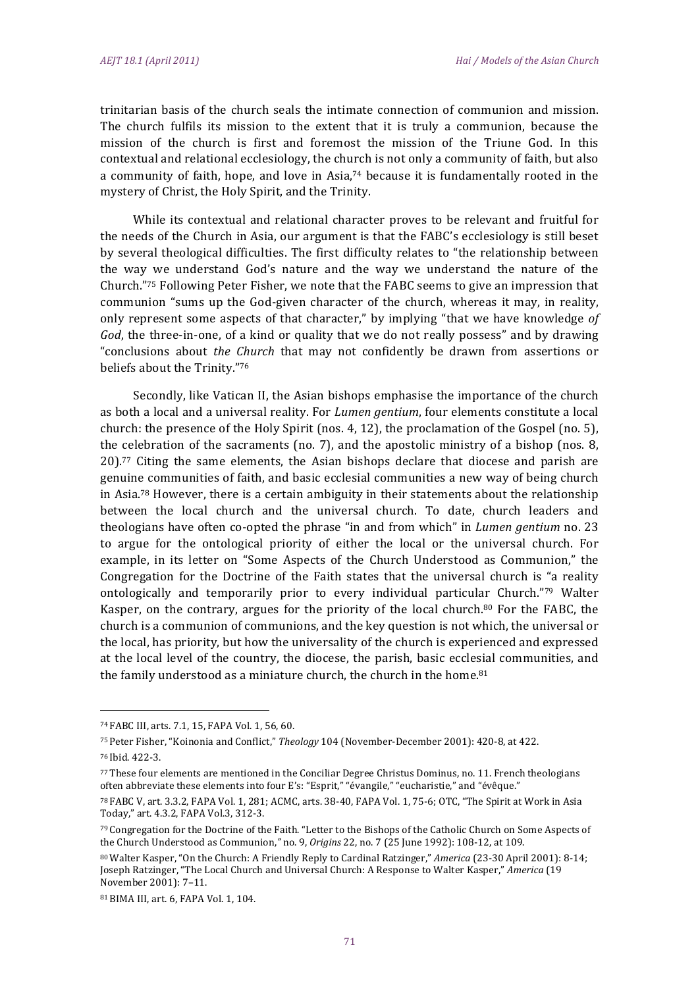trinitarian basis of the church seals the intimate connection of communion and mission. The church fulfils its mission to the extent that it is truly a communion, because the mission of the church is first and foremost the mission of the Triune God. In this contextual and relational ecclesiology, the church is not only a community of faith, but also a community of faith, hope, and love in Asia,<sup>74</sup> because it is fundamentally rooted in the mystery of Christ, the Holy Spirit, and the Trinity.

While its contextual and relational character proves to be relevant and fruitful for the needs of the Church in Asia, our argument is that the FABC's ecclesiology is still beset by several theological difficulties. The first difficulty relates to "the relationship between the way we understand God's nature and the way we understand the nature of the Church."<sup>75</sup> Following Peter Fisher, we note that the FABC seems to give an impression that communion "sums up the God-given character of the church, whereas it may, in reality, only represent some aspects of that character," by implying "that we have knowledge of God, the three-in-one, of a kind or quality that we do not really possess" and by drawing "conclusions about the Church that may not confidently be drawn from assertions or beliefs about the Trinity."76

Secondly, like Vatican II, the Asian bishops emphasise the importance of the church as both a local and a universal reality. For Lumen gentium, four elements constitute a local church: the presence of the Holy Spirit (nos. 4, 12), the proclamation of the Gospel (no. 5), the celebration of the sacraments (no. 7), and the apostolic ministry of a bishop (nos. 8, 20).77 Citing the same elements, the Asian bishops declare that diocese and parish are genuine communities of faith, and basic ecclesial communities a new way of being church in Asia.<sup>78</sup> However, there is a certain ambiguity in their statements about the relationship between the local church and the universal church. To date, church leaders and theologians have often co-opted the phrase "in and from which" in *Lumen gentium* no. 23 to argue for the ontological priority of either the local or the universal church. For example, in its letter on "Some Aspects of the Church Understood as Communion," the Congregation for the Doctrine of the Faith states that the universal church is "a reality ontologically and temporarily prior to every individual particular Church."79 Walter Kasper, on the contrary, argues for the priority of the local church.<sup>80</sup> For the FABC, the church is a communion of communions, and the key question is not which, the universal or the local, has priority, but how the universality of the church is experienced and expressed at the local level of the country, the diocese, the parish, basic ecclesial communities, and the family understood as a miniature church, the church in the home.<sup>81</sup>

<sup>74</sup> FABC III, arts. 7.1, 15, FAPA Vol. 1, 56, 60.

<sup>&</sup>lt;sup>75</sup> Peter Fisher, "Koinonia and Conflict," Theology 104 (November-December 2001): 420-8, at 422.

<sup>76</sup> Ibid. 422-3.

<sup>77</sup> These four elements are mentioned in the Conciliar Degree Christus Dominus, no. 11. French theologians often abbreviate these elements into four E's: "Esprit," "évangile," "eucharistie," and "évêque."

<sup>78</sup> FABC V, art. 3.3.2, FAPA Vol. 1, 281; ACMC, arts. 38-40, FAPA Vol. 1, 75-6; OTC, "The Spirit at Work in Asia Today," art. 4.3.2, FAPA Vol.3, 312-3.

<sup>79</sup> Congregation for the Doctrine of the Faith. "Letter to the Bishops of the Catholic Church on Some Aspects of the Church Understood as Communion," no. 9, Origins 22, no. 7 (25 June 1992): 108-12, at 109.

<sup>80</sup> Walter Kasper, "On the Church: A Friendly Reply to Cardinal Ratzinger," America (23-30 April 2001): 8-14; Joseph Ratzinger, "The Local Church and Universal Church: A Response to Walter Kasper," America (19 November 2001): 7-11.

<sup>81</sup> BIMA III, art. 6, FAPA Vol. 1, 104.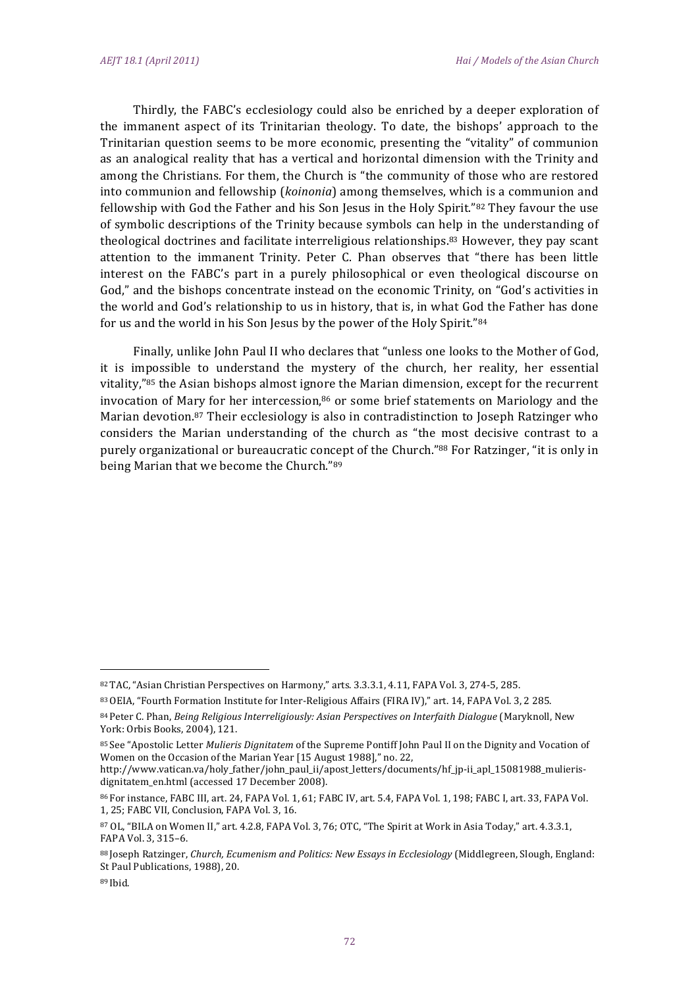Thirdly, the FABC's ecclesiology could also be enriched by a deeper exploration of the immanent aspect of its Trinitarian theology. To date, the bishops' approach to the Trinitarian question seems to be more economic, presenting the "vitality" of communion as an analogical reality that has a vertical and horizontal dimension with the Trinity and among the Christians. For them, the Church is "the community of those who are restored into communion and fellowship (koinonia) among themselves, which is a communion and fellowship with God the Father and his Son Jesus in the Holy Spirit."82 They favour the use of symbolic descriptions of the Trinity because symbols can help in the understanding of theological doctrines and facilitate interreligious relationships.<sup>83</sup> However, they pay scant attention to the immanent Trinity. Peter C. Phan observes that "there has been little interest on the FABC's part in a purely philosophical or even theological discourse on God," and the bishops concentrate instead on the economic Trinity, on "God's activities in the world and God's relationship to us in history, that is, in what God the Father has done for us and the world in his Son Jesus by the power of the Holy Spirit."84

Finally, unlike John Paul II who declares that "unless one looks to the Mother of God, it is impossible to understand the mystery of the church, her reality, her essential vitality,"<sup>85</sup> the Asian bishops almost ignore the Marian dimension, except for the recurrent invocation of Mary for her intercession,<sup>86</sup> or some brief statements on Mariology and the Marian devotion.<sup>87</sup> Their ecclesiology is also in contradistinction to Joseph Ratzinger who considers the Marian understanding of the church as "the most decisive contrast to a purely organizational or bureaucratic concept of the Church."88 For Ratzinger, "it is only in being Marian that we become the Church."89

http://www.vatican.va/holy\_father/john\_paul\_ii/apost\_letters/documents/hf\_jp-ii\_apl\_15081988\_mulierisdignitatem\_en.html (accessed 17 December 2008).

<sup>82</sup> TAC, "Asian Christian Perspectives on Harmony," arts. 3.3.3.1, 4.11, FAPA Vol. 3, 274-5, 285.

<sup>&</sup>lt;sup>83</sup> OEIA. "Fourth Formation Institute for Inter-Religious Affairs (FIRA IV)." art. 14. FAPA Vol. 3, 2 285.

<sup>84</sup> Peter C. Phan, Being Religious Interreligiously: Asian Perspectives on Interfaith Dialogue (Maryknoll, New York: Orbis Books, 2004), 121.

<sup>85</sup> See "Apostolic Letter Mulieris Dignitatem of the Supreme Pontiff John Paul II on the Dignity and Vocation of Women on the Occasion of the Marian Year [15 August 1988]," no. 22,

<sup>86</sup> For instance, FABC III, art. 24, FAPA Vol. 1, 61; FABC IV, art. 5.4, FAPA Vol. 1, 198; FABC I, art. 33, FAPA Vol. 1, 25; FABC VII, Conclusion, FAPA Vol. 3, 16.

<sup>&</sup>lt;sup>87</sup> OL, "BILA on Women II," art. 4.2.8, FAPA Vol. 3, 76; OTC, "The Spirit at Work in Asia Today," art. 4.3.3.1, FAPA Vol. 3, 315-6.

<sup>&</sup>lt;sup>88</sup> Joseph Ratzinger, Church, Ecumenism and Politics: New Essays in Ecclesiology (Middlegreen, Slough, England: St Paul Publications, 1988), 20.

<sup>89</sup> Ibid.